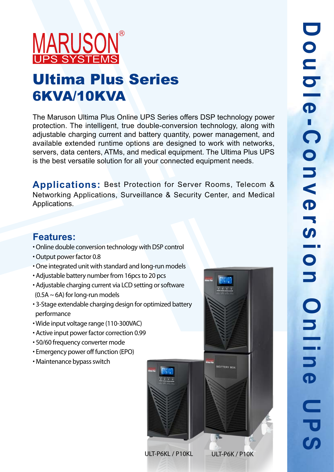## **MARUSON**

## Ultima Plus Series 6KVA/10KVA

The Maruson Ultima Plus Online UPS Series offers DSP technology power protection. The intelligent, true double-conversion technology, along with adjustable charging current and battery quantity, power management, and available extended runtime options are designed to work with networks, servers, data centers, ATMs, and medical equipment. The Ultima Plus UPS is the best versatile solution for all your connected equipment needs.

**Applications:** Best Protection for Server Rooms, Telecom & Networking Applications, Surveillance & Security Center, and Medical Applications.

## **Features:**

- Online double conversion technology with DSP control
- Output power factor 0.8
- One integrated unit with standard and long-run models
- Adjustable battery number from 16pcs to 20 pcs
- Adjustable charging current via LCD setting or software  $(0.5A ~ 6A)$  for long-run models
- 3-Stage extendable charging design for optimized battery performance
- Wide input voltage range (110-300VAC)
- Active input power factor correction 0.99
- 50/60 frequency converter mode
- Emergency power off function (EPO)
- Maintenance bypass switch